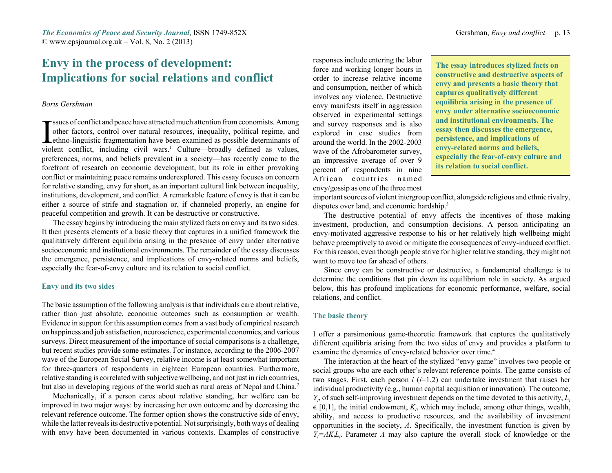*The Economics of Peace and Security Journal*, ISSN 1749-852X Gershman, *Envy and conflict* p. 13 © www.epsjournal.org.uk – Vol. 8, No. 2 (2013)

# **Envy in the process of development: Implications for social relations and conflict**

# *Boris Gershman*

sues of conflict and peace have attracted much attention from economists. Among<br>other factors, control over natural resources, inequality, political regime, and<br>ethno-linguistic fragmentation have been examined as possible violent conflict, including civil wars.<sup>1</sup> Culture—broadly defined as values, preferences, norms, and beliefs prevalent in a society—has recently come to the forefront of research on economic development, but its role in either provoking conflict or maintaining peace remains underexplored. This essay focuses on concern for relative standing, envy for short, as an important cultural link between inequality, institutions, development, and conflict. A remarkable feature of envy is that it can be either a source of strife and stagnation or, if channeled properly, an engine for peaceful competition and growth. It can be destructive or constructive.

The essay begins by introducing the main stylized facts on envy and its two sides. It then presents elements of a basic theory that captures in a unified framework the qualitatively different equilibria arising in the presence of envy under alternative socioeconomic and institutional environments. The remainder of the essay discusses the emergence, persistence, and implications of envy-related norms and beliefs, especially the fear-of-envy culture and its relation to social conflict.

# **Envy and its two sides**

The basic assumption of the following analysis is that individuals care about relative, rather than just absolute, economic outcomes such as consumption or wealth. Evidence in support for this assumption comes from a vast body of empirical research on happiness and job satisfaction, neuroscience, experimental economics, and various surveys. Direct measurement of the importance of social comparisons is a challenge, but recent studies provide some estimates. For instance, according to the 2006-2007 wave of the European Social Survey, relative income is at least somewhat important for three-quarters of respondents in eighteen European countries. Furthermore, relative standing is correlated with subjective wellbeing, and not just in rich countries, but also in developing regions of the world such as rural areas of Nepal and China.<sup>2</sup>

Mechanically, if a person cares about relative standing, her welfare can be improved in two major ways: by increasing her own outcome and by decreasing the relevant reference outcome. The former option shows the constructive side of envy, while the latter reveals its destructive potential. Not surprisingly, both ways of dealing with envy have been documented in various contexts. Examples of constructive

responses include entering the labor force and working longer hours in order to increase relative incomeand consumption, neither of which involves any violence. Destructive envy manifests itself in aggression observed in experimental settings and survey responses and is also explored in case studies from around the world. In the 2002-2003wave of the Afrobarometer survey, an impressive average of over 9 percent of respondents in nine African countries namedenvy/gossip as one of the three most

**The essay introduces stylized facts on constructive and destructive aspects of envy and presents a basic theory that captures qualitatively different equilibria arising in the presence of envy under alternative socioeconomic and institutional environments. Theessay then discusses the emergence, persistence, and implications of envy-related norms and beliefs, especially the fear-of-envy culture and its relation to social conflict.**

important sources of violent intergroup conflict, alongside religious and ethnic rivalry, disputes over land, and economic hardship.<sup>3</sup>

The destructive potential of envy affects the incentives of those making investment, production, and consumption decisions. A person anticipating an envy-motivated aggressive response to his or her relatively high wellbeing might behave preemptively to avoid or mitigate the consequences of envy-induced conflict. For this reason, even though people strive for higher relative standing, they might not want to move too far ahead of others.

Since envy can be constructive or destructive, a fundamental challenge is to determine the conditions that pin down its equilibrium role in society. As argued below, this has profound implications for economic performance, welfare, social relations, and conflict.

## **The basic theory**

I offer a parsimonious game-theoretic framework that captures the qualitatively different equilibria arising from the two sides of envy and provides a platform to examine the dynamics of envy-related behavior over time.<sup>4</sup>

The interaction at the heart of the stylized "envy game" involves two people or social groups who are each other's relevant reference points. The game consists of two stages. First, each person *i* (*i*=1,2) can undertake investment that raises her individual productivity (e.g., human capital acquisition or innovation). The outcome, *Yi*, of such self-improving investment depends on the time devoted to this activity, *Li* $\in [0,1]$ , the initial endowment,  $K_i$ , which may include, among other things, wealth, ability, and access to productive resources, and the availability of investment opportunities in the society, *A*. Specifically, the investment function is given by *Yi=AKiLi*. Parameter *A* may also capture the overall stock of knowledge or the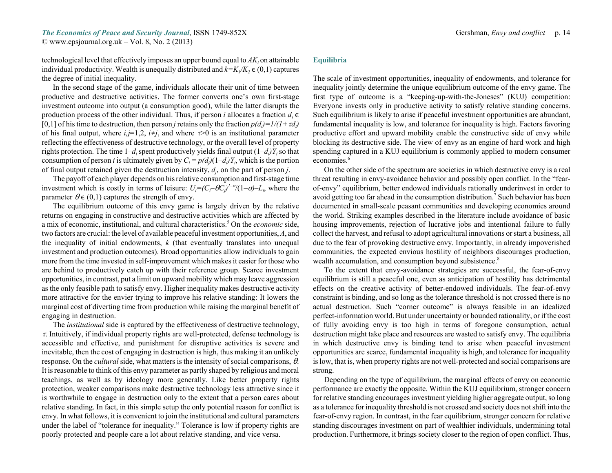technological level that effectively imposes an upper bound equal to *AKi* on attainable individual productivity. Wealth is unequally distributed and  $k=K_{1}/K_{2} \in (0,1)$  captures the degree of initial inequality.

In the second stage of the game, individuals allocate their unit of time between productive and destructive activities. The former converts one's own first-stage investment outcome into output (a consumption good), while the latter disrupts the production process of the other individual. Thus, if person *i* allocates a fraction  $d_i \in$ [0,1] of his time to destruction, then person *j* retains only the fraction  $p(d) = 1/(1 + \tau d)$ of his final output, where  $i, j=1,2$ ,  $i \neq j$ , and where  $\infty$  is an institutional parameter reflecting the effectiveness of destructive technology, or the overall level of property rights protection. The time  $1-d_i$  spent productively yields final output  $(1-d_i)Y_i$  so that consumption of person *i* is ultimately given by  $C_i = p(d_i)(1-d_i)Y_i$ , which is the portion of final output retained given the destruction intensity,  $d_i$ , on the part of person *j*.

The payoff of each player depends on his relative consumption and first-stage time investment which is costly in terms of leisure:  $U_i = (C_i - \theta C_i)^{1-\sigma}/(1-\sigma) - L_i$ , where the parameter  $\theta \in (0,1)$  captures the strength of envy.

The equilibrium outcome of this envy game is largely driven by the relative returns on engaging in constructive and destructive activities which are affected by a mix of economic, institutional, and cultural characteristics.5 On the *economic* side, two factors are crucial: the level of available peaceful investment opportunities, *A*, and the inequality of initial endowments, *k* (that eventually translates into unequal investment and production outcomes). Broad opportunities allow individuals to gain more from the time invested in self-improvement which makes it easier for those who are behind to productively catch up with their reference group. Scarce investment opportunities, in contrast, put a limit on upward mobility which may leave aggression as the only feasible path to satisfy envy. Higher inequality makes destructive activity more attractive for the envier trying to improve his relative standing: It lowers the marginal cost of diverting time from production while raising the marginal benefit of engaging in destruction.

The *institutional* side is captured by the effectiveness of destructive technology,  $\tau$ . Intuitively, if individual property rights are well-protected, defense technology is accessible and effective, and punishment for disruptive activities is severe and inevitable, then the cost of engaging in destruction is high, thus making it an unlikely response. On the *cultural* side, what matters is the intensity of social comparisons,  $\theta$ . It is reasonable to think of this envy parameter as partly shaped by religious and moral teachings, as well as by ideology more generally. Like better property rights protection, weaker comparisons make destructive technology less attractive since it is worthwhile to engage in destruction only to the extent that a person cares about relative standing. In fact, in this simple setup the only potential reason for conflict is envy. In what follows, it is convenient to join the institutional and cultural parameters under the label of "tolerance for inequality." Tolerance is low if property rights are poorly protected and people care a lot about relative standing, and vice versa.

# **Equilibria**

The scale of investment opportunities, inequality of endowments, and tolerance for inequality jointly determine the unique equilibrium outcome of the envy game. The first type of outcome is a "keeping-up-with-the-Joneses" (KUJ) competition: Everyone invests only in productive activity to satisfy relative standing concerns. Such equilibrium is likely to arise if peaceful investment opportunities are abundant, fundamental inequality is low, and tolerance for inequality is high. Factors favoring productive effort and upward mobility enable the constructive side of envy while blocking its destructive side. The view of envy as an engine of hard work and high spending captured in a KUJ equilibrium is commonly applied to modern consumer economies.<sup>6</sup>

On the other side of the spectrum are societies in which destructive envy is a real threat resulting in envy-avoidance behavior and possibly open conflict. In the "fearof-envy" equilibrium, better endowed individuals rationally underinvest in order to avoid getting too far ahead in the consumption distribution.7 Such behavior has been documented in small-scale peasant communities and developing economies around the world. Striking examples described in the literature include avoidance of basic housing improvements, rejection of lucrative jobs and intentional failure to fully collect the harvest, and refusal to adopt agricultural innovations or start a business, all due to the fear of provoking destructive envy. Importantly, in already impoverished communities, the expected envious hostility of neighbors discourages production, wealth accumulation, and consumption beyond subsistence.<sup>8</sup>

To the extent that envy-avoidance strategies are successful, the fear-of-envy equilibrium is still a peaceful one, even as anticipation of hostility has detrimental effects on the creative activity of better-endowed individuals. The fear-of-envy constraint is binding, and so long as the tolerance threshold is not crossed there is no actual destruction. Such "corner outcome" is always feasible in an idealized perfect-information world. But under uncertainty or bounded rationality, or if the cost of fully avoiding envy is too high in terms of foregone consumption, actual destruction might take place and resources are wasted to satisfy envy. The equilibria in which destructive envy is binding tend to arise when peaceful investment opportunities are scarce, fundamental inequality is high, and tolerance for inequality is low, that is, when property rights are not well-protected and social comparisons are strong.

Depending on the type of equilibrium, the marginal effects of envy on economic performance are exactly the opposite. Within the KUJ equilibrium, stronger concern for relative standing encourages investment yielding higher aggregate output, so long as a tolerance for inequality threshold is not crossed and society does not shift into the fear-of-envy region. In contrast, in the fear equilibrium, stronger concern for relative standing discourages investment on part of wealthier individuals, undermining total production. Furthermore, it brings society closer to the region of open conflict. Thus,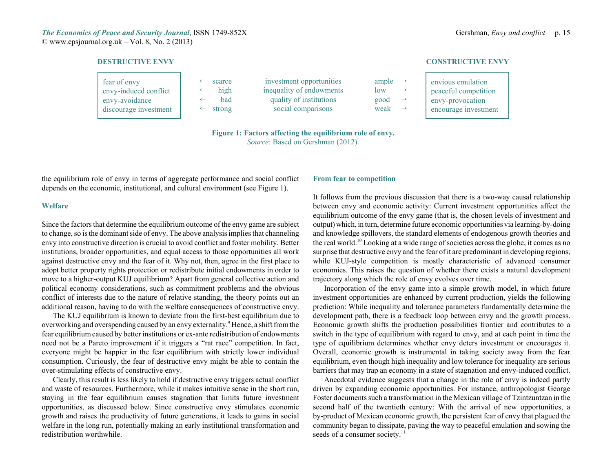## **DESTRUCTIVE ENVY**

| fear of envy<br>envy-induced conflict<br>envy-avoidance<br>discourage investment | scarce<br>high<br>bad<br>$\leftarrow$ strong | investment opportunities<br>inequality of endowments<br>quality of institutions<br>social comparisons | ample $\rightarrow$<br>low<br>good<br>$\rightarrow$<br>weak $\rightarrow$ | envious emulation<br>peaceful competition<br>envy-provocation<br>encourage investment |
|----------------------------------------------------------------------------------|----------------------------------------------|-------------------------------------------------------------------------------------------------------|---------------------------------------------------------------------------|---------------------------------------------------------------------------------------|
|----------------------------------------------------------------------------------|----------------------------------------------|-------------------------------------------------------------------------------------------------------|---------------------------------------------------------------------------|---------------------------------------------------------------------------------------|

**Figure 1: Factors affecting the equilibrium role of envy.**

*Source*: Based on Gershman (2012).

the equilibrium role of envy in terms of aggregate performance and social conflict depends on the economic, institutional, and cultural environment (see Figure 1).

# **Welfare**

Since the factors that determine the equilibrium outcome of the envy game are subject to change, so is the dominant side of envy. The above analysis implies that channeling envy into constructive direction is crucial to avoid conflict and foster mobility. Better institutions, broader opportunities, and equal access to those opportunities all work against destructive envy and the fear of it. Why not, then, agree in the first place to adopt better property rights protection or redistribute initial endowments in order to move to a higher-output KUJ equilibrium? Apart from general collective action and political economy considerations, such as commitment problems and the obvious conflict of interests due to the nature of relative standing, the theory points out an additional reason, having to do with the welfare consequences of constructive envy.

The KUJ equilibrium is known to deviate from the first-best equilibrium due to overworking and overspending caused by an envy externality.<sup>9</sup> Hence, a shift from the fear equilibrium caused by better institutions or ex-ante redistribution of endowments need not be a Pareto improvement if it triggers a "rat race" competition. In fact, everyone might be happier in the fear equilibrium with strictly lower individual consumption. Curiously, the fear of destructive envy might be able to contain the over-stimulating effects of constructive envy.

Clearly, this result is less likely to hold if destructive envy triggers actual conflict and waste of resources. Furthermore, while it makes intuitive sense in the short run, staying in the fear equilibrium causes stagnation that limits future investment opportunities, as discussed below. Since constructive envy stimulates economic growth and raises the productivity of future generations, it leads to gains in social welfare in the long run, potentially making an early institutional transformation and redistribution worthwhile.

# **From fear to competition**

It follows from the previous discussion that there is a two-way causal relationship between envy and economic activity: Current investment opportunities affect the equilibrium outcome of the envy game (that is, the chosen levels of investment and output) which, in turn, determine future economic opportunities via learning-by-doing and knowledge spillovers, the standard elements of endogenous growth theories and the real world.10 Looking at a wide range of societies across the globe, it comes as no surprise that destructive envy and the fear of it are predominant in developing regions, while KUJ-style competition is mostly characteristic of advanced consumer economies. This raises the question of whether there exists a natural development trajectory along which the role of envy evolves over time.

Incorporation of the envy game into a simple growth model, in which future investment opportunities are enhanced by current production, yields the following prediction: While inequality and tolerance parameters fundamentally determine the development path, there is a feedback loop between envy and the growth process. Economic growth shifts the production possibilities frontier and contributes to a switch in the type of equilibrium with regard to envy, and at each point in time the type of equilibrium determines whether envy deters investment or encourages it. Overall, economic growth is instrumental in taking society away from the fear equilibrium, even though high inequality and low tolerance for inequality are serious barriers that may trap an economy in a state of stagnation and envy-induced conflict.

Anecdotal evidence suggests that a change in the role of envy is indeed partly driven by expanding economic opportunities. For instance, anthropologist George Foster documents such a transformation in the Mexican village of Tzintzuntzan in the second half of the twentieth century: With the arrival of new opportunities, a by-product of Mexican economic growth, the persistent fear of envy that plagued the community began to dissipate, paving the way to peaceful emulation and sowing the seeds of a consumer society.<sup>11</sup>

# **CONSTRUCTIVE ENVY**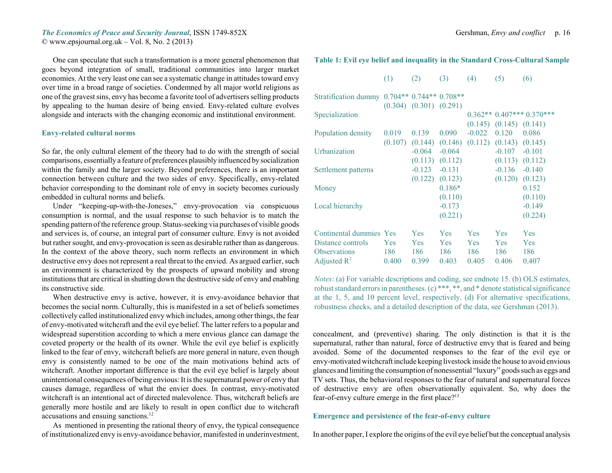One can speculate that such a transformation is a more general phenomenon that goes beyond integration of small, traditional communities into larger market economies. At the very least one can see a systematic change in attitudes toward envy over time in a broad range of societies. Condemned by all major world religions as one of the gravest sins, envy has become a favorite tool of advertisers selling products by appealing to the human desire of being envied. Envy-related culture evolves alongside and interacts with the changing economic and institutional environment.

## **Envy-related cultural norms**

So far, the only cultural element of the theory had to do with the strength of social comparisons, essentially a feature of preferences plausibly influenced by socialization within the family and the larger society. Beyond preferences, there is an important connection between culture and the two sides of envy. Specifically, envy-related behavior corresponding to the dominant role of envy in society becomes curiously embedded in cultural norms and beliefs.

Under "keeping-up-with-the-Joneses," envy-provocation via conspicuous consumption is normal, and the usual response to such behavior is to match the spending pattern of the reference group. Status-seeking via purchases of visible goods and services is, of course, an integral part of consumer culture. Envy is not avoided but rather sought, and envy-provocation is seen as desirable rather than as dangerous. In the context of the above theory, such norm reflects an environment in which destructive envy does not represent a real threat to the envied. As argued earlier, such an environment is characterized by the prospects of upward mobility and strong institutions that are critical in shutting down the destructive side of envy and enabling its constructive side.

When destructive envy is active, however, it is envy-avoidance behavior that becomes the social norm. Culturally, this is manifested in a set of beliefs sometimes collectively called institutionalized envy which includes, among other things, the fear of envy-motivated witchcraft and the evil eye belief. The latter refers to a popular and widespread superstition according to which a mere envious glance can damage the coveted property or the health of its owner. While the evil eye belief is explicitly linked to the fear of envy, witchcraft beliefs are more general in nature, even though envy is consistently named to be one of the main motivations behind acts of witchcraft. Another important difference is that the evil eye belief is largely about unintentional consequences of being envious: It is the supernatural power of envy that causes damage, regardless of what the envier does. In contrast, envy-motivated witchcraft is an intentional act of directed malevolence. Thus, witchcraft beliefs are generally more hostile and are likely to result in open conflict due to witchcraft accusations and ensuing sanctions.<sup>12</sup>

As mentioned in presenting the rational theory of envy, the typical consequence of institutionalized envy is envy-avoidance behavior, manifested in underinvestment,

# **Table 1: Evil eye belief and inequality in the Standard Cross-Cultural Sample**

|  | (1) | (2) | (3) | (4) | (5) | (6) |
|--|-----|-----|-----|-----|-----|-----|
|--|-----|-----|-----|-----|-----|-----|

| Stratification dummy                                                                           |                            | $0.704**0.744**0.708**$<br>$(0.304)$ $(0.301)$ $(0.291)$ |                                          |                                          |                            |                                   |
|------------------------------------------------------------------------------------------------|----------------------------|----------------------------------------------------------|------------------------------------------|------------------------------------------|----------------------------|-----------------------------------|
| Specialization                                                                                 |                            |                                                          |                                          | $0.362**$<br>(0.145)                     | (0.145)                    | $0.407***0.370***$<br>(0.141)     |
| Population density                                                                             | 0.019<br>(0.107)           | 0.139<br>(0.144)                                         | 0.090<br>(0.146)                         | $-0.022$<br>(0.112)                      | 0.120<br>(0.143)           | 0.086<br>(0.145)                  |
| <b>Urbanization</b>                                                                            |                            | $-0.064$<br>(0.113)                                      | $-0.064$                                 |                                          | $-0.107$<br>(0.113)        | $-0.101$                          |
| Settlement patterns                                                                            |                            | $-0.123$<br>(0.122)                                      | (0.112)<br>$-0.131$<br>(0.123)           |                                          | $-0.136$<br>(0.120)        | (0.112)<br>$-0.140$<br>(0.123)    |
| Money                                                                                          |                            |                                                          | $0.186*$<br>(0.110)                      |                                          |                            | 0.152<br>(0.110)                  |
| Local hierarchy                                                                                |                            |                                                          | $-0.173$<br>(0.221)                      |                                          |                            | $-0.149$<br>(0.224)               |
| Continental dummies Yes<br>Distance controls<br><b>Observations</b><br>Adjusted $\mathbb{R}^2$ | <b>Yes</b><br>186<br>0.400 | <b>Yes</b><br><b>Yes</b><br>186<br>0.399                 | <b>Yes</b><br><b>Yes</b><br>186<br>0.403 | <b>Yes</b><br><b>Yes</b><br>186<br>0.405 | Yes<br>Yes<br>186<br>0.406 | Yes<br><b>Yes</b><br>186<br>0.407 |

*Notes*: (a) For variable descriptions and coding, see endnote 15. (b) OLS estimates, robust standard errors in parentheses. (c) \*\*\*, \*\*, and \* denote statistical significance at the 1, 5, and 10 percent level, respectively. (d) For alternative specifications, robustness checks, and a detailed description of the data, see Gershman (2013).

concealment, and (preventive) sharing. The only distinction is that it is the supernatural, rather than natural, force of destructive envy that is feared and being avoided. Some of the documented responses to the fear of the evil eye or envy-motivated witchcraft include keeping livestock inside the house to avoid envious glances and limiting the consumption of nonessential "luxury" goods such as eggs and TV sets. Thus, the behavioral responses to the fear of natural and supernatural forces of destructive envy are often observationally equivalent. So, why does the fear-of-envy culture emerge in the first place?<sup>13</sup>

# **Emergence and persistence of the fear-of-envy culture**

In another paper, I explore the origins of the evil eye belief but the conceptual analysis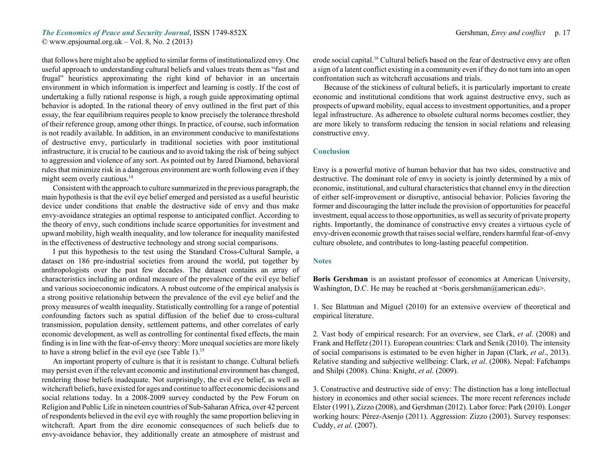*The Economics of Peace and Security Journal*, ISSN 1749-852X Gershman, *Envy and conflict* p. 17

© www.epsjournal.org.uk – Vol. 8, No. 2 (2013)

that follows here might also be applied to similar forms of institutionalized envy. One useful approach to understanding cultural beliefs and values treats them as "fast and frugal" heuristics approximating the right kind of behavior in an uncertain environment in which information is imperfect and learning is costly. If the cost of undertaking a fully rational response is high, a rough guide approximating optimal behavior is adopted. In the rational theory of envy outlined in the first part of this essay, the fear equilibrium requires people to know precisely the tolerance threshold of their reference group, among other things. In practice, of course, such information is not readily available. In addition, in an environment conducive to manifestations of destructive envy, particularly in traditional societies with poor institutional infrastructure, it is crucial to be cautious and to avoid taking the risk of being subject to aggression and violence of any sort. As pointed out by Jared Diamond, behavioral rules that minimize risk in a dangerous environment are worth following even if they might seem overly cautious.<sup>14</sup>

Consistent with the approach to culture summarized in the previous paragraph, the main hypothesis is that the evil eye belief emerged and persisted as a useful heuristic device under conditions that enable the destructive side of envy and thus make envy-avoidance strategies an optimal response to anticipated conflict. According to the theory of envy, such conditions include scarce opportunities for investment and upward mobility, high wealth inequality, and low tolerance for inequality manifested in the effectiveness of destructive technology and strong social comparisons.

I put this hypothesis to the test using the Standard Cross-Cultural Sample, a dataset on 186 pre-industrial societies from around the world, put together by anthropologists over the past few decades. The dataset contains an array of characteristics including an ordinal measure of the prevalence of the evil eye belief and various socioeconomic indicators. A robust outcome of the empirical analysis is a strong positive relationship between the prevalence of the evil eye belief and the proxy measures of wealth inequality. Statistically controlling for a range of potential confounding factors such as spatial diffusion of the belief due to cross-cultural transmission, population density, settlement patterns, and other correlates of early economic development, as well as controlling for continental fixed effects, the main finding is in line with the fear-of-envy theory: More unequal societies are more likely to have a strong belief in the evil eye (see Table 1).<sup>15</sup>

An important property of culture is that it is resistant to change. Cultural beliefs may persist even if the relevant economic and institutional environment has changed, rendering those beliefs inadequate. Not surprisingly, the evil eye belief, as well as witchcraft beliefs, have existed for ages and continue to affect economic decisions and social relations today. In a 2008-2009 survey conducted by the Pew Forum on Religion and Public Life in nineteen countries of Sub-Saharan Africa, over 42 percent of respondents believed in the evil eye with roughly the same proportion believing in witchcraft. Apart from the dire economic consequences of such beliefs due to envy-avoidance behavior, they additionally create an atmosphere of mistrust and

erode social capital.16 Cultural beliefs based on the fear of destructive envy are often a sign of a latent conflict existing in a community even if they do not turn into an open confrontation such as witchcraft accusations and trials.

Because of the stickiness of cultural beliefs, it is particularly important to create economic and institutional conditions that work against destructive envy, such as prospects of upward mobility, equal access to investment opportunities, and a proper legal infrastructure. As adherence to obsolete cultural norms becomes costlier, they are more likely to transform reducing the tension in social relations and releasing constructive envy.

# **Conclusion**

Envy is a powerful motive of human behavior that has two sides, constructive and destructive. The dominant role of envy in society is jointly determined by a mix of economic, institutional, and cultural characteristics that channel envy in the direction of either self-improvement or disruptive, antisocial behavior. Policies favoring the former and discouraging the latter include the provision of opportunities for peaceful investment, equal access to those opportunities, as well as security of private property rights. Importantly, the dominance of constructive envy creates a virtuous cycle of envy-driven economic growth that raises social welfare, renders harmful fear-of-envy culture obsolete, and contributes to long-lasting peaceful competition.

#### **Notes**

**Boris Gershman** is an assistant professor of economics at American University, Washington, D.C. He may be reached at  $\langle$ boris.gershman@american.edu $\rangle$ .

1. See Blattman and Miguel (2010) for an extensive overview of theoretical and empirical literature.

2. Vast body of empirical research: For an overview, see Clark, *et al*. (2008) and Frank and Heffetz (2011). European countries: Clark and Senik (2010). The intensity of social comparisons is estimated to be even higher in Japan (Clark, *et al*., 2013). Relative standing and subjective wellbeing: Clark, *et al*. (2008). Nepal: Fafchamps and Shilpi (2008). China: Knight, *et al*. (2009).

3. Constructive and destructive side of envy: The distinction has a long intellectual history in economics and other social sciences. The more recent references include Elster (1991), Zizzo (2008), and Gershman (2012). Labor force: Park (2010). Longer working hours: Pérez-Asenjo (2011). Aggression: Zizzo (2003). Survey responses: Cuddy, *et al*. (2007).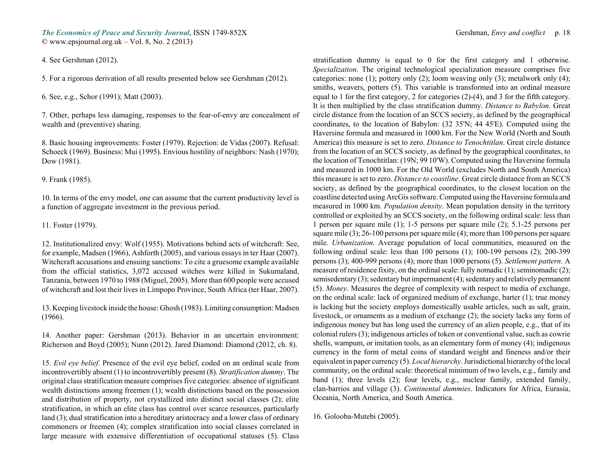4. See Gershman (2012).

5. For a rigorous derivation of all results presented below see Gershman (2012).

6. See, e.g., Schor (1991); Matt (2003).

7. Other, perhaps less damaging, responses to the fear-of-envy are concealment of wealth and (preventive) sharing.

8. Basic housing improvements: Foster (1979). Rejection: de Vidas (2007). Refusal: Schoeck (1969). Business: Mui (1995). Envious hostility of neighbors: Nash (1970); Dow (1981).

9. Frank (1985).

10. In terms of the envy model, one can assume that the current productivity level is a function of aggregate investment in the previous period.

## 11. Foster (1979).

12. Institutionalized envy: Wolf (1955). Motivations behind acts of witchcraft: See, for example, Madsen (1966), Ashforth (2005), and various essays in ter Haar (2007). Witchcraft accusations and ensuing sanctions: To cite a gruesome example available from the official statistics, 3,072 accused witches were killed in Sukumaland, Tanzania, between 1970 to 1988 (Miguel, 2005). More than 600 people were accused of witchcraft and lost their lives in Limpopo Province, South Africa (ter Haar, 2007).

13. Keeping livestock inside the house: Ghosh (1983). Limiting consumption: Madsen (1966).

14. Another paper: Gershman (2013). Behavior in an uncertain environment: Richerson and Boyd (2005); Nunn (2012). Jared Diamond: Diamond (2012, ch. 8).

15. *Evil eye belief*. Presence of the evil eye belief, coded on an ordinal scale from incontrovertibly absent (1) to incontrovertibly present (8). *Stratification dummy*. The original class stratification measure comprises five categories: absence of significant wealth distinctions among freemen (1); wealth distinctions based on the possession and distribution of property, not crystallized into distinct social classes (2); elite stratification, in which an elite class has control over scarce resources, particularly land (3); dual stratification into a hereditary aristocracy and a lower class of ordinary commoners or freemen (4); complex stratification into social classes correlated in large measure with extensive differentiation of occupational statuses (5). Class

stratification dummy is equal to 0 for the first category and 1 otherwise. *Specialization*. The original technological specialization measure comprises five categories: none (1); pottery only (2); loom weaving only (3); metalwork only (4); smiths, weavers, potters (5). This variable is transformed into an ordinal measure equal to 1 for the first category, 2 for categories  $(2)-(4)$ , and 3 for the fifth category. It is then multiplied by the class stratification dummy. *Distance to Babylon*. Great circle distance from the location of an SCCS society, as defined by the geographical coordinates, to the location of Babylon: (32 35'N; 44 45'E). Computed using the Haversine formula and measured in 1000 km. For the New World (North and South America) this measure is set to zero. *Distance to Tenochtitlan*. Great circle distance from the location of an SCCS society, as defined by the geographical coordinates, to the location of Tenochtitlan: (19N; 99 10'W). Computed using the Haversine formula and measured in 1000 km. For the Old World (excludes North and South America) this measure is set to zero. *Distance to coastline*. Great circle distance from an SCCS society, as defined by the geographical coordinates, to the closest location on the coastline detected using ArcGis software. Computed using the Haversine formula and measured in 1000 km. *Population density*. Mean population density in the territory controlled or exploited by an SCCS society, on the following ordinal scale: less than 1 person per square mile (1); 1-5 persons per square mile (2); 5.1-25 persons per square mile (3); 26-100 persons per square mile (4); more than 100 persons per square mile. *Urbanization*. Average population of local communities, measured on the following ordinal scale: less than 100 persons  $(1)$ ; 100-199 persons  $(2)$ ; 200-399 persons (3); 400-999 persons (4); more than 1000 persons (5). *Settlement pattern*. A measure of residence fixity, on the ordinal scale: fully nomadic (1); seminomadic (2); semisedentary (3); sedentary but impermanent (4); sedentary and relatively permanent (5). *Money*. Measures the degree of complexity with respect to media of exchange, on the ordinal scale: lack of organized medium of exchange, barter (1); true money is lacking but the society employs domestically usable articles, such as salt, grain, livestock, or ornaments as a medium of exchange (2); the society lacks any form of indigenous money but has long used the currency of an alien people, e.g., that of its colonial rulers (3); indigenous articles of token or conventional value, such as cowrie shells, wampum, or imitation tools, as an elementary form of money (4); indigenous currency in the form of metal coins of standard weight and fineness and/or their equivalent in paper currency (5). *Local hierarchy*. Jurisdictional hierarchy of the local community, on the ordinal scale: theoretical minimum of two levels, e.g., family and band (1); three levels (2); four levels, e.g., nuclear family, extended family, clan-barrios and village (3). *Continental dummies*. Indicators for Africa, Eurasia, Oceania, North America, and South America.

16. Golooba-Mutebi (2005).